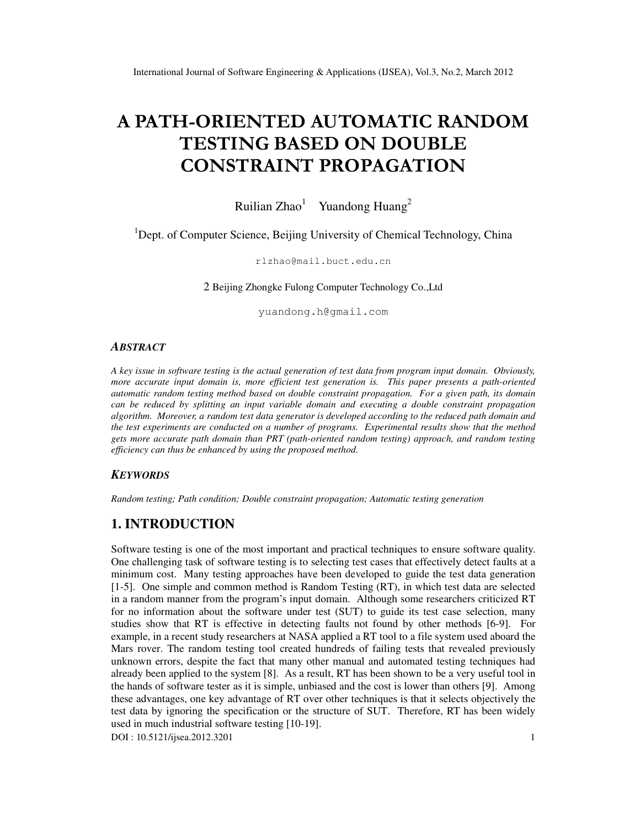# A PATH-ORIENTED AUTOMATIC RANDOM TESTING BASED ON DOUBLE CONSTRAINT PROPAGATION

Ruilian  $Zhao<sup>1</sup>$  Yuandong Huang<sup>2</sup>

<sup>1</sup>Dept. of Computer Science, Beijing University of Chemical Technology, China

rlzhao@mail.buct.edu.cn

2 Beijing Zhongke Fulong Computer Technology Co.,Ltd

yuandong.h@gmail.com

#### *ABSTRACT*

*A key issue in software testing is the actual generation of test data from program input domain. Obviously, more accurate input domain is, more efficient test generation is. This paper presents a path-oriented automatic random testing method based on double constraint propagation. For a given path, its domain can be reduced by splitting an input variable domain and executing a double constraint propagation algorithm. Moreover, a random test data generator is developed according to the reduced path domain and the test experiments are conducted on a number of programs. Experimental results show that the method gets more accurate path domain than PRT (path-oriented random testing) approach, and random testing efficiency can thus be enhanced by using the proposed method.* 

#### *KEYWORDS*

*Random testing; Path condition; Double constraint propagation; Automatic testing generation* 

# **1. INTRODUCTION**

DOI : 10.5121/ijsea.2012.3201 1 Software testing is one of the most important and practical techniques to ensure software quality. One challenging task of software testing is to selecting test cases that effectively detect faults at a minimum cost. Many testing approaches have been developed to guide the test data generation [1-5]. One simple and common method is Random Testing (RT), in which test data are selected in a random manner from the program's input domain. Although some researchers criticized RT for no information about the software under test (SUT) to guide its test case selection, many studies show that RT is effective in detecting faults not found by other methods [6-9]. For example, in a recent study researchers at NASA applied a RT tool to a file system used aboard the Mars rover. The random testing tool created hundreds of failing tests that revealed previously unknown errors, despite the fact that many other manual and automated testing techniques had already been applied to the system [8]. As a result, RT has been shown to be a very useful tool in the hands of software tester as it is simple, unbiased and the cost is lower than others [9]. Among these advantages, one key advantage of RT over other techniques is that it selects objectively the test data by ignoring the specification or the structure of SUT. Therefore, RT has been widely used in much industrial software testing [10-19].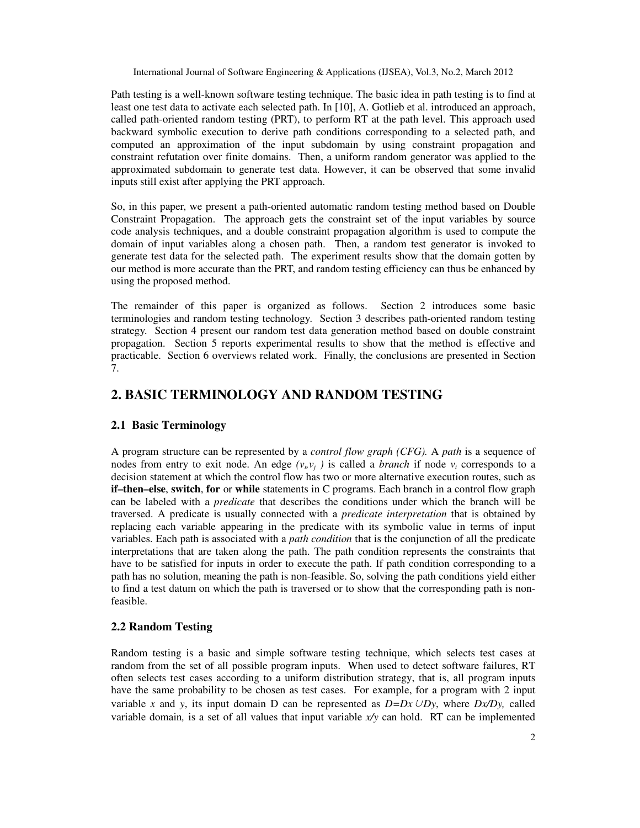Path testing is a well-known software testing technique. The basic idea in path testing is to find at least one test data to activate each selected path. In [10], A. Gotlieb et al. introduced an approach, called path-oriented random testing (PRT), to perform RT at the path level. This approach used backward symbolic execution to derive path conditions corresponding to a selected path, and computed an approximation of the input subdomain by using constraint propagation and constraint refutation over finite domains. Then, a uniform random generator was applied to the approximated subdomain to generate test data. However, it can be observed that some invalid inputs still exist after applying the PRT approach.

So, in this paper, we present a path-oriented automatic random testing method based on Double Constraint Propagation. The approach gets the constraint set of the input variables by source code analysis techniques, and a double constraint propagation algorithm is used to compute the domain of input variables along a chosen path. Then, a random test generator is invoked to generate test data for the selected path. The experiment results show that the domain gotten by our method is more accurate than the PRT, and random testing efficiency can thus be enhanced by using the proposed method.

The remainder of this paper is organized as follows. Section 2 introduces some basic terminologies and random testing technology. Section 3 describes path-oriented random testing strategy. Section 4 present our random test data generation method based on double constraint propagation. Section 5 reports experimental results to show that the method is effective and practicable. Section 6 overviews related work. Finally, the conclusions are presented in Section 7.

# **2. BASIC TERMINOLOGY AND RANDOM TESTING**

### **2.1 Basic Terminology**

A program structure can be represented by a *control flow graph (CFG).* A *path* is a sequence of nodes from entry to exit node. An edge  $(v_i, v_j)$  is called a *branch* if node  $v_i$  corresponds to a decision statement at which the control flow has two or more alternative execution routes, such as **if–then–else**, **switch**, **for** or **while** statements in C programs. Each branch in a control flow graph can be labeled with a *predicate* that describes the conditions under which the branch will be traversed. A predicate is usually connected with a *predicate interpretation* that is obtained by replacing each variable appearing in the predicate with its symbolic value in terms of input variables. Each path is associated with a *path condition* that is the conjunction of all the predicate interpretations that are taken along the path. The path condition represents the constraints that have to be satisfied for inputs in order to execute the path. If path condition corresponding to a path has no solution, meaning the path is non-feasible. So, solving the path conditions yield either to find a test datum on which the path is traversed or to show that the corresponding path is nonfeasible.

#### **2.2 Random Testing**

Random testing is a basic and simple software testing technique, which selects test cases at random from the set of all possible program inputs. When used to detect software failures, RT often selects test cases according to a uniform distribution strategy, that is, all program inputs have the same probability to be chosen as test cases. For example, for a program with 2 input variable *x* and *y*, its input domain D can be represented as *D=Dx*∪*Dy*, where *Dx/Dy,* called variable domain, is a set of all values that input variable  $x/y$  can hold. RT can be implemented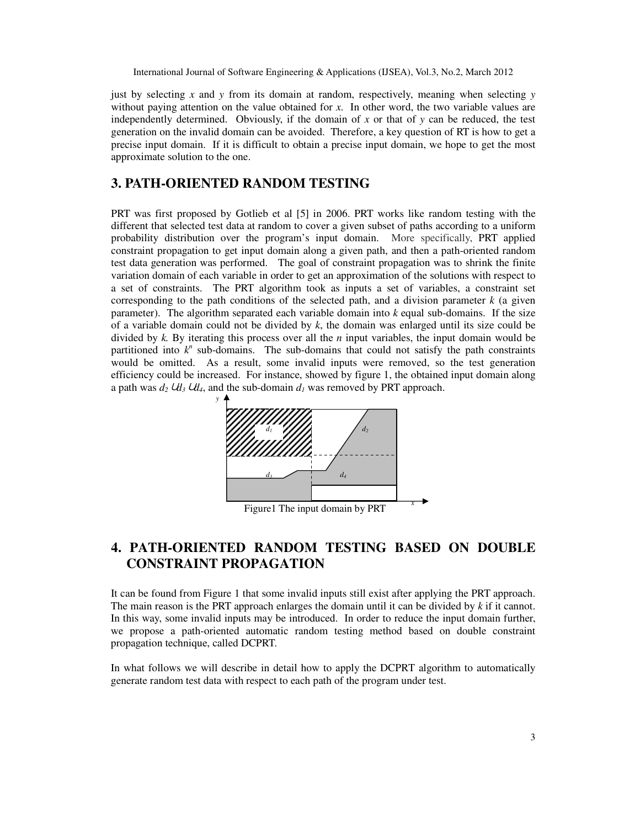just by selecting *x* and *y* from its domain at random, respectively, meaning when selecting *y* without paying attention on the value obtained for *x*. In other word, the two variable values are independently determined. Obviously, if the domain of  $x$  or that of  $y$  can be reduced, the test generation on the invalid domain can be avoided. Therefore, a key question of RT is how to get a precise input domain. If it is difficult to obtain a precise input domain, we hope to get the most approximate solution to the one.

### **3. PATH-ORIENTED RANDOM TESTING**

PRT was first proposed by Gotlieb et al [5] in 2006. PRT works like random testing with the different that selected test data at random to cover a given subset of paths according to a uniform probability distribution over the program's input domain. More specifically, PRT applied constraint propagation to get input domain along a given path, and then a path-oriented random test data generation was performed. The goal of constraint propagation was to shrink the finite variation domain of each variable in order to get an approximation of the solutions with respect to a set of constraints. The PRT algorithm took as inputs a set of variables, a constraint set corresponding to the path conditions of the selected path, and a division parameter  $k$  (a given parameter). The algorithm separated each variable domain into *k* equal sub-domains. If the size of a variable domain could not be divided by *k*, the domain was enlarged until its size could be divided by *k.* By iterating this process over all the *n* input variables, the input domain would be partitioned into  $k^n$  sub-domains. The sub-domains that could not satisfy the path constraints would be omitted. As a result, some invalid inputs were removed, so the test generation efficiency could be increased. For instance, showed by figure 1, the obtained input domain along a path was  $d_2 \mathcal{U}_3 \mathcal{U}_4$ , and the sub-domain  $d_1$  was removed by PRT approach.



Figure1 The input domain by PRT

# **4. PATH-ORIENTED RANDOM TESTING BASED ON DOUBLE CONSTRAINT PROPAGATION**

It can be found from Figure 1 that some invalid inputs still exist after applying the PRT approach. The main reason is the PRT approach enlarges the domain until it can be divided by *k* if it cannot. In this way, some invalid inputs may be introduced. In order to reduce the input domain further, we propose a path-oriented automatic random testing method based on double constraint propagation technique, called DCPRT.

In what follows we will describe in detail how to apply the DCPRT algorithm to automatically generate random test data with respect to each path of the program under test.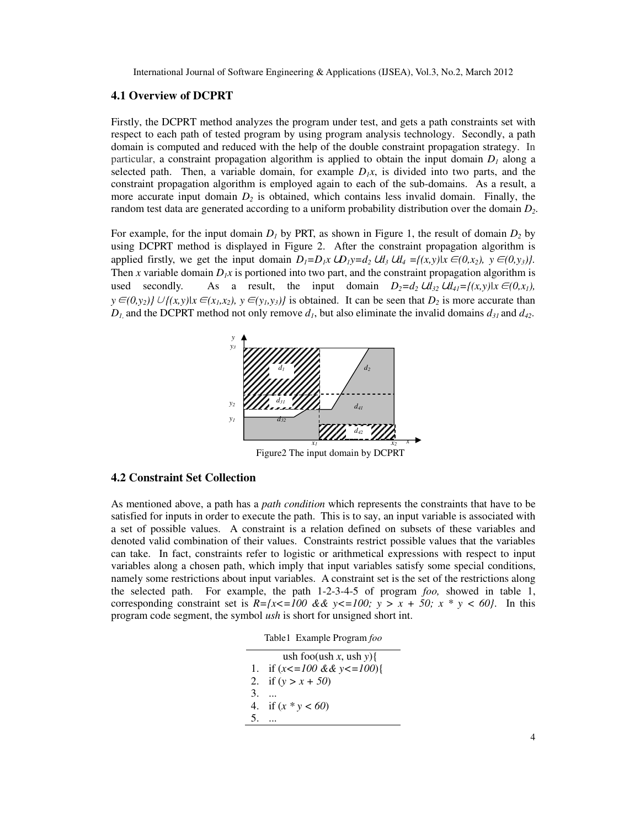#### **4.1 Overview of DCPRT**

Firstly, the DCPRT method analyzes the program under test, and gets a path constraints set with respect to each path of tested program by using program analysis technology. Secondly, a path domain is computed and reduced with the help of the double constraint propagation strategy. In particular, a constraint propagation algorithm is applied to obtain the input domain  $D<sub>l</sub>$  along a selected path. Then, a variable domain, for example  $D<sub>l</sub>x$ , is divided into two parts, and the constraint propagation algorithm is employed again to each of the sub-domains. As a result, a more accurate input domain  $D_2$  is obtained, which contains less invalid domain. Finally, the random test data are generated according to a uniform probability distribution over the domain *D2*.

For example, for the input domain  $D_1$  by PRT, as shown in Figure 1, the result of domain  $D_2$  by using DCPRT method is displayed in Figure 2. After the constraint propagation algorithm is applied firstly, we get the input domain  $D_1 = D_1x \cup D_1y = d_2 \cup d_3 \cup d_4 = \{(x,y)|x \in (0,x_2), y \in (0,y_3)\}.$ Then *x* variable domain  $D_lx$  is portioned into two part, and the constraint propagation algorithm is used secondly. As a result, the input domain  $D_2 = d_2 \mathcal{U} d_{32} \mathcal{U} d_{41} = f(x, y) |x \in (0, x_1)$ , *y*∈ $(0, y_2)$ *}*∪ $f(x, y)$ |*x*∈ $(x_1, x_2)$ ,  $y \in (y_1, y_3)$ *}* is obtained. It can be seen that  $D_2$  is more accurate than  $D_l$  and the DCPRT method not only remove  $d_l$ , but also eliminate the invalid domains  $d_{3l}$  and  $d_{42}$ .



Figure2 The input domain by DCPRT

#### **4.2 Constraint Set Collection**

As mentioned above, a path has a *path condition* which represents the constraints that have to be satisfied for inputs in order to execute the path. This is to say, an input variable is associated with a set of possible values. A constraint is a relation defined on subsets of these variables and denoted valid combination of their values. Constraints restrict possible values that the variables can take. In fact, constraints refer to logistic or arithmetical expressions with respect to input variables along a chosen path, which imply that input variables satisfy some special conditions, namely some restrictions about input variables. A constraint set is the set of the restrictions along the selected path. For example, the path 1-2-3-4-5 of program *foo,* showed in table 1, corresponding constraint set is  $R = \{x \le 100 \& \& y \le 100; y > x + 50; x * y < 60\}$ . In this program code segment, the symbol *ush* is short for unsigned short int.

|  | Table1 Example Program foo |  |  |
|--|----------------------------|--|--|
|--|----------------------------|--|--|

ush foo(ush  $x$ , ush  $y$ ){ 1. if (*x<=100 && y<=100*){ 2. if (*y > x + 50*) 3. ... 4. if (*x \* y < 60*) 5.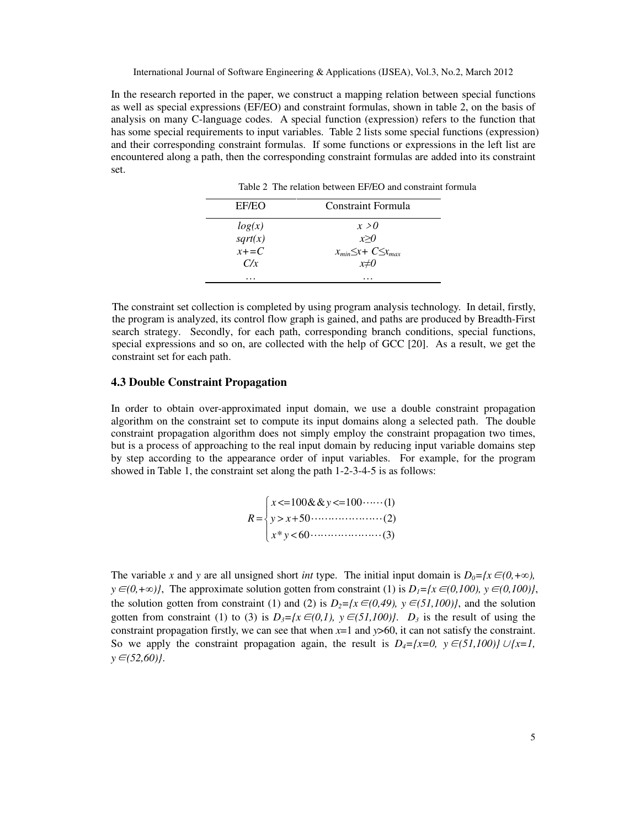In the research reported in the paper, we construct a mapping relation between special functions as well as special expressions (EF/EO) and constraint formulas, shown in table 2, on the basis of analysis on many C-language codes. A special function (expression) refers to the function that has some special requirements to input variables. Table 2 lists some special functions (expression) and their corresponding constraint formulas. If some functions or expressions in the left list are encountered along a path, then the corresponding constraint formulas are added into its constraint set.

Table 2 The relation between EF/EO and constraint formula

| EF/EO   | Constraint Formula                |
|---------|-----------------------------------|
| log(x)  | x > 0                             |
| sqrt(x) | x>0                               |
| $x + C$ | $x_{min} \leq x + C \leq x_{max}$ |
| C/x     | $x\neq 0$                         |
| .       | .                                 |

The constraint set collection is completed by using program analysis technology. In detail, firstly, the program is analyzed, its control flow graph is gained, and paths are produced by Breadth-First search strategy. Secondly, for each path, corresponding branch conditions, special functions, special expressions and so on, are collected with the help of GCC [20]. As a result, we get the constraint set for each path.

#### **4.3 Double Constraint Propagation**

In order to obtain over-approximated input domain, we use a double constraint propagation algorithm on the constraint set to compute its input domains along a selected path. The double constraint propagation algorithm does not simply employ the constraint propagation two times, but is a process of approaching to the real input domain by reducing input variable domains step by step according to the appearance order of input variables. For example, for the program showed in Table 1, the constraint set along the path 1-2-3-4-5 is as follows:

$$
R = \begin{cases} x \le 100 \& \& y \le 100 \cdots (1) \\ y > x + 50 \cdots (2) \\ x \ast y < 60 \cdots (3) \end{cases}
$$

The variable *x* and *y* are all unsigned short *int* type. The initial input domain is  $D_0 = \{x \in (0, +\infty),$ *y*∈ $(0, +∞)$ }, The approximate solution gotten from constraint (1) is *D<sub>1</sub>*={*x*∈ $(0,100)$ , *y*∈ $(0,100)$ }, the solution gotten from constraint (1) and (2) is  $D_2 = \{x \in (0, 49), y \in (51, 100)\}\)$ , and the solution gotten from constraint (1) to (3) is  $D_3 = \{x \in (0,1), y \in (51,100)\}\)$ .  $D_3$  is the result of using the constraint propagation firstly, we can see that when *x*=1 and *y*>60, it can not satisfy the constraint. So we apply the constraint propagation again, the result is  $D_4 = (x=0, y \in (51,100)) \cup (x=1,$ *y*∈*(52,60)}*.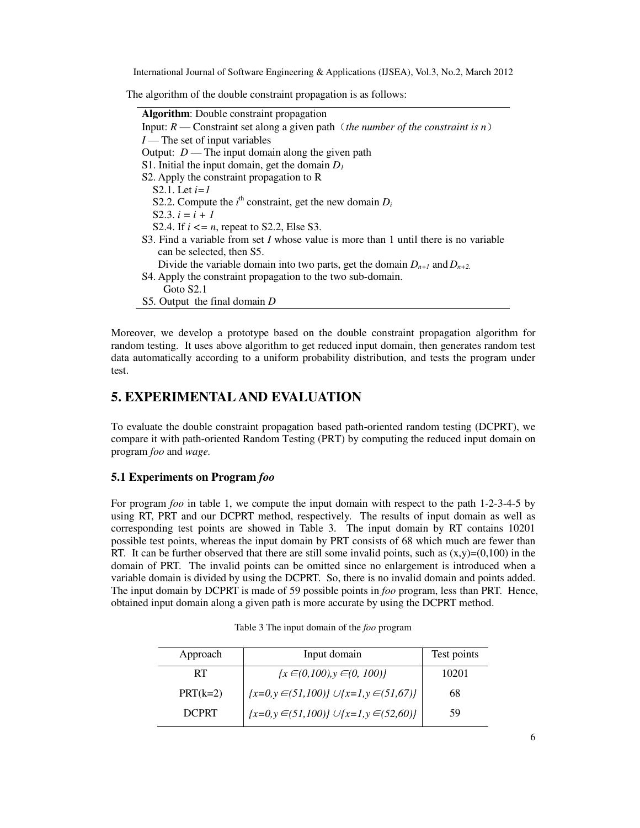The algorithm of the double constraint propagation is as follows:

| <b>Algorithm:</b> Double constraint propagation                                             |
|---------------------------------------------------------------------------------------------|
| Input: $R$ — Constraint set along a given path ( <i>the number of the constraint is n</i> ) |
| $I$ — The set of input variables                                                            |
| Output: $D$ — The input domain along the given path                                         |
| S1. Initial the input domain, get the domain $D_1$                                          |
| S2. Apply the constraint propagation to R                                                   |
| S2.1. Let $i=1$                                                                             |
| S2.2. Compute the $i^{\text{th}}$ constraint, get the new domain $D_i$                      |
| $S2.3. i = i + 1$                                                                           |
| S2.4. If $i \le n$ , repeat to S2.2, Else S3.                                               |
| S3. Find a variable from set I whose value is more than 1 until there is no variable        |
| can be selected, then S5.                                                                   |
| Divide the variable domain into two parts, get the domain $D_{n+1}$ and $D_{n+2}$ .         |
| S4. Apply the constraint propagation to the two sub-domain.                                 |
| Goto S2.1                                                                                   |
| S5. Output the final domain D                                                               |

Moreover, we develop a prototype based on the double constraint propagation algorithm for random testing. It uses above algorithm to get reduced input domain, then generates random test data automatically according to a uniform probability distribution, and tests the program under test.

# **5. EXPERIMENTAL AND EVALUATION**

To evaluate the double constraint propagation based path-oriented random testing (DCPRT), we compare it with path-oriented Random Testing (PRT) by computing the reduced input domain on program *foo* and *wage.* 

### **5.1 Experiments on Program** *foo*

For program *foo* in table 1, we compute the input domain with respect to the path 1-2-3-4-5 by using RT, PRT and our DCPRT method, respectively. The results of input domain as well as corresponding test points are showed in Table 3. The input domain by RT contains 10201 possible test points, whereas the input domain by PRT consists of 68 which much are fewer than RT. It can be further observed that there are still some invalid points, such as  $(x,y)=(0,100)$  in the domain of PRT. The invalid points can be omitted since no enlargement is introduced when a variable domain is divided by using the DCPRT. So, there is no invalid domain and points added. The input domain by DCPRT is made of 59 possible points in *foo* program, less than PRT. Hence, obtained input domain along a given path is more accurate by using the DCPRT method.

| Approach     | Input domain                                           | Test points |
|--------------|--------------------------------------------------------|-------------|
| RT           | $\{x \in (0,100), y \in (0,100)\}\$                    | 10201       |
| $PRT(k=2)$   | $\{x=0, y \in (51,100)\} \cup \{x=1, y \in (51,67)\}\$ | 68          |
| <b>DCPRT</b> | $\{x=0, y \in (51,100)\} \cup \{x=1, y \in (52,60)\}$  | 59          |

|  |  |  |  |  |  | Table 3 The input domain of the foo program |
|--|--|--|--|--|--|---------------------------------------------|
|--|--|--|--|--|--|---------------------------------------------|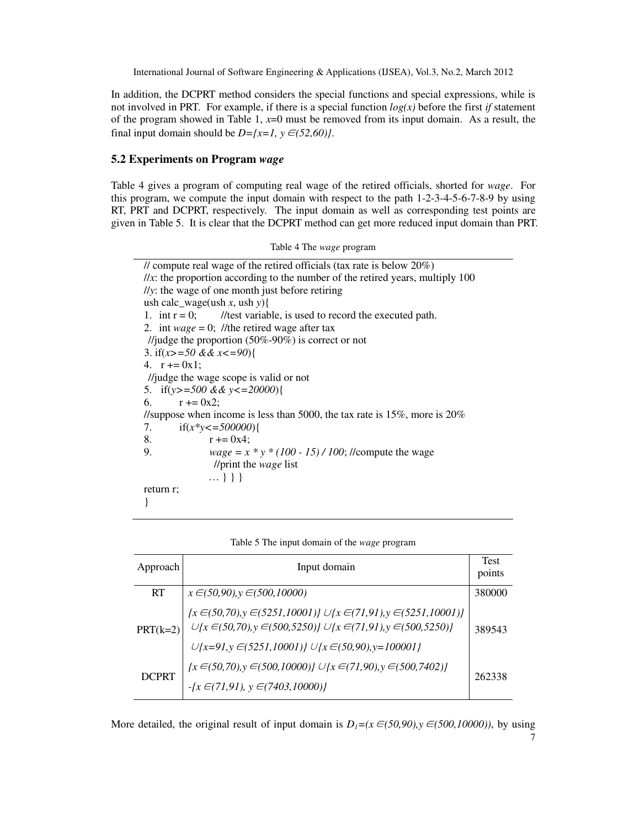In addition, the DCPRT method considers the special functions and special expressions, while is not involved in PRT. For example, if there is a special function  $log(x)$  before the first *if* statement of the program showed in Table 1,  $x=0$  must be removed from its input domain. As a result, the final input domain should be  $D=\{x=1, y \in (52,60)\}.$ 

#### **5.2 Experiments on Program** *wage*

Table 4 gives a program of computing real wage of the retired officials, shorted for *wage*. For this program, we compute the input domain with respect to the path 1-2-3-4-5-6-7-8-9 by using RT, PRT and DCPRT, respectively. The input domain as well as corresponding test points are given in Table 5. It is clear that the DCPRT method can get more reduced input domain than PRT.

Table 4 The *wage* program

// compute real wage of the retired officials (tax rate is below 20%)  $\frac{1}{x}$ : the proportion according to the number of the retired years, multiply 100 //*y*: the wage of one month just before retiring ush calc\_wage(ush *x*, ush *y*){ 1. int  $r = 0$ ; //test variable, is used to record the executed path. 2. int  $wage = 0$ ; //the retired wage after tax //judge the proportion (50%-90%) is correct or not 3. if(*x>=50 && x<=90*){ 4.  $r == 0x1$ : //judge the wage scope is valid or not 5. if(*y>=500 && y<=20000*){ 6.  $r += 0x2$ ; //suppose when income is less than 5000, the tax rate is  $15\%$ , more is  $20\%$ 7. if(*x\*y<=500000*){ 8.  $r += 0x4$ ; 9. *wage* =  $x * y * (100 - 15) / 100$ ; //compute the wage //print the *wage* list … } } } return r; }

| Table 5 The input domain of the <i>wage</i> program |  |
|-----------------------------------------------------|--|
|-----------------------------------------------------|--|

| Approach     | Input domain                                                                                                                                                                  | <b>Test</b><br>points |  |
|--------------|-------------------------------------------------------------------------------------------------------------------------------------------------------------------------------|-----------------------|--|
| <b>RT</b>    | $x \in (50,90), y \in (500,10000)$                                                                                                                                            | 380000                |  |
| $PRT(k=2)$   | $\{x \in (50,70), y \in (5251,10001)\} \cup \{x \in (71,91), y \in (5251,10001)\}$<br>$\cup \{x \in (50, 70), y \in (500, 5250)\} \cup \{x \in (71, 91), y \in (500, 5250)\}$ | 389543                |  |
|              | $\cup$ {x=91,y ∈(5251,10001)} $\cup$ {x ∈(50,90),y=100001}                                                                                                                    |                       |  |
| <b>DCPRT</b> | $\{x \in (50, 70), y \in (500, 10000)\} \cup \{x \in (71, 90), y \in (500, 7402)\}\$                                                                                          |                       |  |
|              | $-\{x \in (71, 91), y \in (7403, 10000)\}\$                                                                                                                                   | 262338                |  |

7 More detailed, the original result of input domain is  $D_1 = (x \in (50, 90), y \in (500, 10000))$ , by using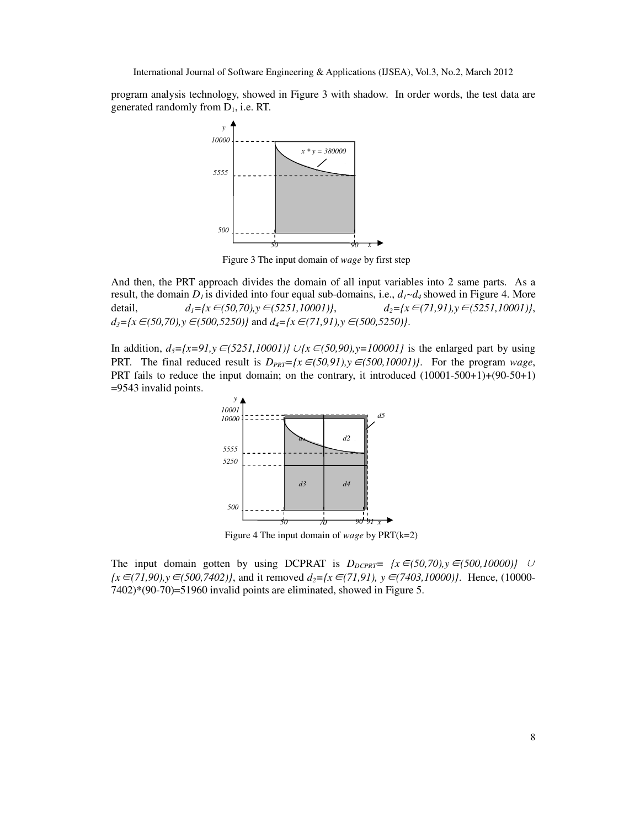program analysis technology, showed in Figure 3 with shadow. In order words, the test data are generated randomly from  $D_1$ , i.e. RT.



Figure 3 The input domain of *wage* by first step

And then, the PRT approach divides the domain of all input variables into 2 same parts. As a result, the domain  $D<sub>I</sub>$  is divided into four equal sub-domains, i.e.,  $d<sub>I</sub>~d<sub>4</sub>$  showed in Figure 4. More detail, *d1={x*∈*(50,70),y*∈*(5251,10001)}*, *d2={x*∈*(71,91),y*∈*(5251,10001)}*, *d3={x*∈*(50,70),y*∈*(500,5250)}* and *d4={x*∈*(71,91),y*∈*(500,5250)}*.

In addition,  $d_5 = {x=91, y ∈ (5251,10001)} ∪ {x ∈ (50,90), y=100001}$  is the enlarged part by using PRT. The final reduced result is  $D_{PRT} = \{x \in (50, 91), y \in (500, 10001)\}\)$ . For the program *wage*, PRT fails to reduce the input domain; on the contrary, it introduced  $(10001-500+1)+(90-50+1)$ =9543 invalid points.



Figure 4 The input domain of *wage* by PRT(k=2)

The input domain gotten by using DCPRAT is  $D_{DCPRT} = \{x \in (50, 70), y \in (500, 10000)\}$  ∪ *{x*∈*(71,90),y*∈*(500,7402)}*, and it removed *d2={x*∈*(71,91), y*∈*(7403,10000)}*. Hence, (10000-  $7402$ <sup>\*</sup>(90-70)=51960 invalid points are eliminated, showed in Figure 5.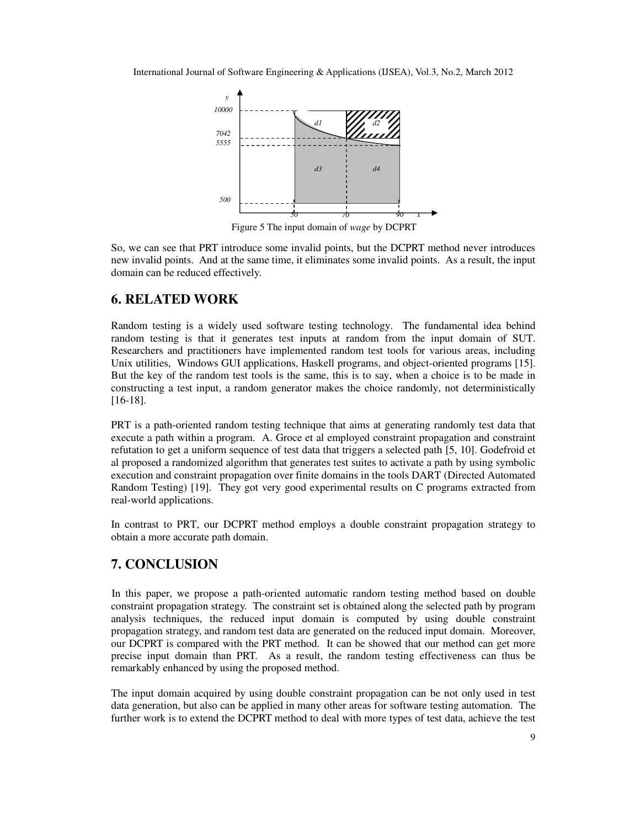

Figure 5 The input domain of *wage* by DCPRT

So, we can see that PRT introduce some invalid points, but the DCPRT method never introduces new invalid points. And at the same time, it eliminates some invalid points. As a result, the input domain can be reduced effectively.

### **6. RELATED WORK**

Random testing is a widely used software testing technology. The fundamental idea behind random testing is that it generates test inputs at random from the input domain of SUT. Researchers and practitioners have implemented random test tools for various areas, including Unix utilities, Windows GUI applications, Haskell programs, and object-oriented programs [15]. But the key of the random test tools is the same, this is to say, when a choice is to be made in constructing a test input, a random generator makes the choice randomly, not deterministically [16-18].

PRT is a path-oriented random testing technique that aims at generating randomly test data that execute a path within a program. A. Groce et al employed constraint propagation and constraint refutation to get a uniform sequence of test data that triggers a selected path [5, 10]. Godefroid et al proposed a randomized algorithm that generates test suites to activate a path by using symbolic execution and constraint propagation over finite domains in the tools DART (Directed Automated Random Testing) [19]. They got very good experimental results on C programs extracted from real-world applications.

In contrast to PRT, our DCPRT method employs a double constraint propagation strategy to obtain a more accurate path domain.

### **7. CONCLUSION**

In this paper, we propose a path-oriented automatic random testing method based on double constraint propagation strategy. The constraint set is obtained along the selected path by program analysis techniques, the reduced input domain is computed by using double constraint propagation strategy, and random test data are generated on the reduced input domain. Moreover, our DCPRT is compared with the PRT method. It can be showed that our method can get more precise input domain than PRT. As a result, the random testing effectiveness can thus be remarkably enhanced by using the proposed method.

The input domain acquired by using double constraint propagation can be not only used in test data generation, but also can be applied in many other areas for software testing automation. The further work is to extend the DCPRT method to deal with more types of test data, achieve the test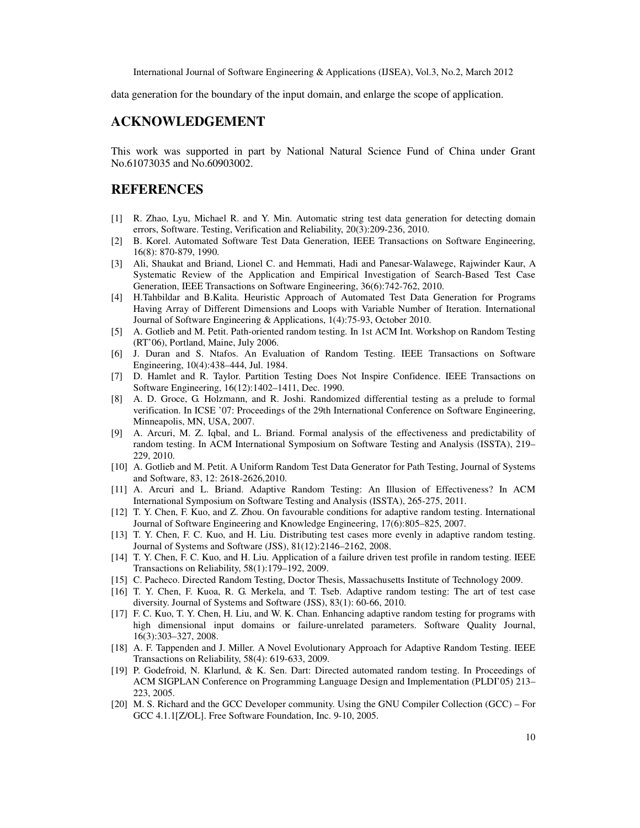data generation for the boundary of the input domain, and enlarge the scope of application.

### **ACKNOWLEDGEMENT**

This work was supported in part by National Natural Science Fund of China under Grant No.61073035 and No.60903002.

### **REFERENCES**

- [1] R. Zhao, Lyu, Michael R. and Y. Min. Automatic string test data generation for detecting domain errors, Software. Testing, Verification and Reliability, 20(3):209-236, 2010.
- [2] B. Korel. Automated Software Test Data Generation, IEEE Transactions on Software Engineering, 16(8): 870-879, 1990.
- [3] Ali, Shaukat and Briand, Lionel C. and Hemmati, Hadi and Panesar-Walawege, Rajwinder Kaur, A Systematic Review of the Application and Empirical Investigation of Search-Based Test Case Generation, IEEE Transactions on Software Engineering, 36(6):742-762, 2010.
- [4] H.Tahbildar and B.Kalita. Heuristic Approach of Automated Test Data Generation for Programs Having Array of Different Dimensions and Loops with Variable Number of Iteration. International Journal of Software Engineering & Applications, 1(4):75-93, October 2010.
- [5] A. Gotlieb and M. Petit. Path-oriented random testing. In 1st ACM Int. Workshop on Random Testing (RT'06), Portland, Maine, July 2006.
- [6] J. Duran and S. Ntafos. An Evaluation of Random Testing. IEEE Transactions on Software Engineering, 10(4):438–444, Jul. 1984.
- [7] D. Hamlet and R. Taylor. Partition Testing Does Not Inspire Confidence. IEEE Transactions on Software Engineering, 16(12):1402–1411, Dec. 1990.
- [8] A. D. Groce, G. Holzmann, and R. Joshi. Randomized differential testing as a prelude to formal verification. In ICSE '07: Proceedings of the 29th International Conference on Software Engineering, Minneapolis, MN, USA, 2007.
- [9] A. Arcuri, M. Z. Iqbal, and L. Briand. Formal analysis of the effectiveness and predictability of random testing. In ACM International Symposium on Software Testing and Analysis (ISSTA), 219– 229, 2010.
- [10] A. Gotlieb and M. Petit. A Uniform Random Test Data Generator for Path Testing, Journal of Systems and Software, 83, 12: 2618-2626,2010.
- [11] A. Arcuri and L. Briand. Adaptive Random Testing: An Illusion of Effectiveness? In ACM International Symposium on Software Testing and Analysis (ISSTA), 265-275, 2011.
- [12] T. Y. Chen, F. Kuo, and Z. Zhou. On favourable conditions for adaptive random testing. International Journal of Software Engineering and Knowledge Engineering, 17(6):805–825, 2007.
- [13] T. Y. Chen, F. C. Kuo, and H. Liu. Distributing test cases more evenly in adaptive random testing. Journal of Systems and Software (JSS), 81(12):2146–2162, 2008.
- [14] T. Y. Chen, F. C. Kuo, and H. Liu. Application of a failure driven test profile in random testing. IEEE Transactions on Reliability, 58(1):179–192, 2009.
- [15] C. Pacheco. Directed Random Testing, Doctor Thesis, Massachusetts Institute of Technology 2009.
- [16] T. Y. Chen, F. Kuoa, R. G. Merkela, and T. Tseb. Adaptive random testing: The art of test case diversity. Journal of Systems and Software (JSS), 83(1): 60-66, 2010.
- [17] F. C. Kuo, T. Y. Chen, H. Liu, and W. K. Chan. Enhancing adaptive random testing for programs with high dimensional input domains or failure-unrelated parameters. Software Quality Journal, 16(3):303–327, 2008.
- [18] A. F. Tappenden and J. Miller. A Novel Evolutionary Approach for Adaptive Random Testing. IEEE Transactions on Reliability, 58(4): 619-633, 2009.
- [19] P. Godefroid, N. Klarlund, & K. Sen. Dart: Directed automated random testing. In Proceedings of ACM SIGPLAN Conference on Programming Language Design and Implementation (PLDI'05) 213– 223, 2005.
- [20] M. S. Richard and the GCC Developer community. Using the GNU Compiler Collection (GCC) For GCC 4.1.1[Z/OL]. Free Software Foundation, Inc. 9-10, 2005.